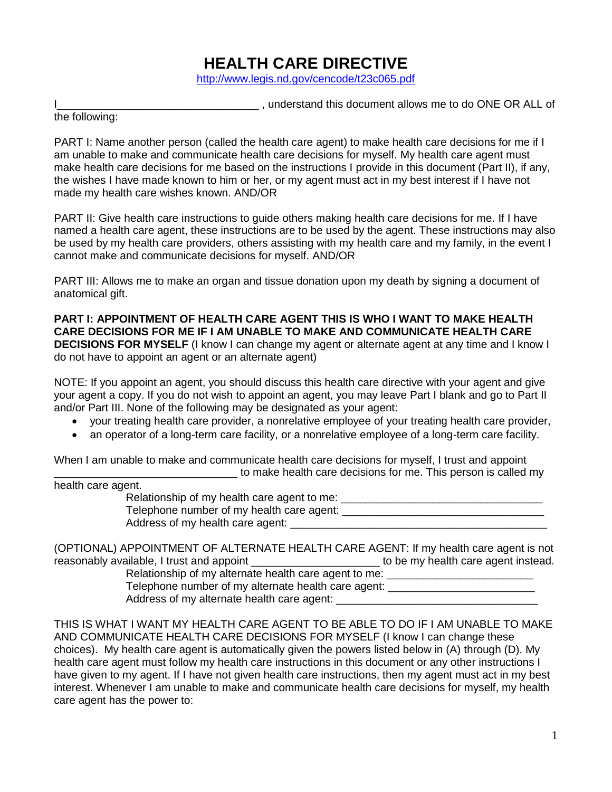# **HEALTH CARE DIRECTIVE**

<http://www.legis.nd.gov/cencode/t23c065.pdf>

I<sub>L</sub>\_\_\_\_\_\_\_\_\_\_\_\_\_, understand this document allows me to do ONE OR ALL of

the following:

PART I: Name another person (called the health care agent) to make health care decisions for me if I am unable to make and communicate health care decisions for myself. My health care agent must make health care decisions for me based on the instructions I provide in this document (Part II), if any, the wishes I have made known to him or her, or my agent must act in my best interest if I have not made my health care wishes known. AND/OR

PART II: Give health care instructions to guide others making health care decisions for me. If I have named a health care agent, these instructions are to be used by the agent. These instructions may also be used by my health care providers, others assisting with my health care and my family, in the event I cannot make and communicate decisions for myself. AND/OR

PART III: Allows me to make an organ and tissue donation upon my death by signing a document of anatomical gift.

**PART I: APPOINTMENT OF HEALTH CARE AGENT THIS IS WHO I WANT TO MAKE HEALTH CARE DECISIONS FOR ME IF I AM UNABLE TO MAKE AND COMMUNICATE HEALTH CARE DECISIONS FOR MYSELF** (I know I can change my agent or alternate agent at any time and I know I do not have to appoint an agent or an alternate agent)

NOTE: If you appoint an agent, you should discuss this health care directive with your agent and give your agent a copy. If you do not wish to appoint an agent, you may leave Part I blank and go to Part II and/or Part III. None of the following may be designated as your agent:

- your treating health care provider, a nonrelative employee of your treating health care provider,
- an operator of a long-term care facility, or a nonrelative employee of a long-term care facility.

When I am unable to make and communicate health care decisions for myself, I trust and appoint \_\_\_\_\_\_\_\_\_\_\_\_\_\_\_\_\_\_\_\_\_\_\_\_\_\_\_\_\_\_ to make health care decisions for me. This person is called my

health care agent. Relationship of my health care agent to me: \_\_\_\_\_\_\_\_\_\_\_\_\_\_\_\_\_\_\_\_\_\_\_\_\_\_\_\_\_\_\_\_\_ Telephone number of my health care agent: \_\_\_\_\_\_\_\_\_\_\_\_\_\_\_\_\_\_\_\_\_\_\_\_\_\_\_\_\_\_\_\_\_ Address of my health care agent: \_\_\_\_\_\_\_\_\_\_\_\_\_\_\_\_\_\_\_\_\_\_\_\_\_\_\_\_\_\_\_\_\_\_\_\_\_\_\_\_\_\_

| (OPTIONAL) APPOINTMENT OF ALTERNATE HEALTH CARE AGENT: If my health care agent is not |                                     |
|---------------------------------------------------------------------------------------|-------------------------------------|
| reasonably available, I trust and appoint                                             | to be my health care agent instead. |

Relationship of my alternate health care agent to me: \_\_\_\_\_\_\_\_\_\_\_\_\_\_\_\_\_\_\_\_\_\_\_\_\_\_ Telephone number of my alternate health care agent: Address of my alternate health care agent: \_\_\_\_\_\_\_\_\_\_\_\_\_\_\_\_\_\_\_\_\_\_\_\_\_\_\_\_\_\_\_\_\_

THIS IS WHAT I WANT MY HEALTH CARE AGENT TO BE ABLE TO DO IF I AM UNABLE TO MAKE AND COMMUNICATE HEALTH CARE DECISIONS FOR MYSELF (I know I can change these choices). My health care agent is automatically given the powers listed below in (A) through (D). My health care agent must follow my health care instructions in this document or any other instructions I have given to my agent. If I have not given health care instructions, then my agent must act in my best interest. Whenever I am unable to make and communicate health care decisions for myself, my health care agent has the power to: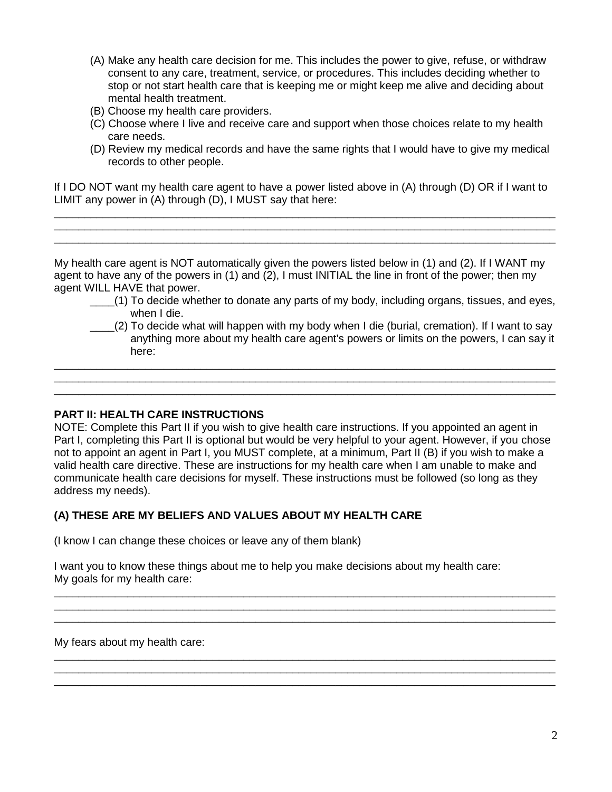- (A) Make any health care decision for me. This includes the power to give, refuse, or withdraw consent to any care, treatment, service, or procedures. This includes deciding whether to stop or not start health care that is keeping me or might keep me alive and deciding about mental health treatment.
- (B) Choose my health care providers.
- (C) Choose where I live and receive care and support when those choices relate to my health care needs.
- (D) Review my medical records and have the same rights that I would have to give my medical records to other people.

If I DO NOT want my health care agent to have a power listed above in (A) through (D) OR if I want to LIMIT any power in (A) through (D), I MUST say that here:

\_\_\_\_\_\_\_\_\_\_\_\_\_\_\_\_\_\_\_\_\_\_\_\_\_\_\_\_\_\_\_\_\_\_\_\_\_\_\_\_\_\_\_\_\_\_\_\_\_\_\_\_\_\_\_\_\_\_\_\_\_\_\_\_\_\_\_\_\_\_\_\_\_\_\_\_\_\_\_\_\_\_ \_\_\_\_\_\_\_\_\_\_\_\_\_\_\_\_\_\_\_\_\_\_\_\_\_\_\_\_\_\_\_\_\_\_\_\_\_\_\_\_\_\_\_\_\_\_\_\_\_\_\_\_\_\_\_\_\_\_\_\_\_\_\_\_\_\_\_\_\_\_\_\_\_\_\_\_\_\_\_\_\_\_ \_\_\_\_\_\_\_\_\_\_\_\_\_\_\_\_\_\_\_\_\_\_\_\_\_\_\_\_\_\_\_\_\_\_\_\_\_\_\_\_\_\_\_\_\_\_\_\_\_\_\_\_\_\_\_\_\_\_\_\_\_\_\_\_\_\_\_\_\_\_\_\_\_\_\_\_\_\_\_\_\_\_

My health care agent is NOT automatically given the powers listed below in (1) and (2). If I WANT my agent to have any of the powers in (1) and (2), I must INITIAL the line in front of the power; then my agent WILL HAVE that power.

- \_\_\_\_(1) To decide whether to donate any parts of my body, including organs, tissues, and eyes, when I die.
- \_\_\_\_(2) To decide what will happen with my body when I die (burial, cremation). If I want to say anything more about my health care agent's powers or limits on the powers, I can say it here:

#### **PART II: HEALTH CARE INSTRUCTIONS**

NOTE: Complete this Part II if you wish to give health care instructions. If you appointed an agent in Part I, completing this Part II is optional but would be very helpful to your agent. However, if you chose not to appoint an agent in Part I, you MUST complete, at a minimum, Part II (B) if you wish to make a valid health care directive. These are instructions for my health care when I am unable to make and communicate health care decisions for myself. These instructions must be followed (so long as they address my needs).

\_\_\_\_\_\_\_\_\_\_\_\_\_\_\_\_\_\_\_\_\_\_\_\_\_\_\_\_\_\_\_\_\_\_\_\_\_\_\_\_\_\_\_\_\_\_\_\_\_\_\_\_\_\_\_\_\_\_\_\_\_\_\_\_\_\_\_\_\_\_\_\_\_\_\_\_\_\_\_\_\_\_ \_\_\_\_\_\_\_\_\_\_\_\_\_\_\_\_\_\_\_\_\_\_\_\_\_\_\_\_\_\_\_\_\_\_\_\_\_\_\_\_\_\_\_\_\_\_\_\_\_\_\_\_\_\_\_\_\_\_\_\_\_\_\_\_\_\_\_\_\_\_\_\_\_\_\_\_\_\_\_\_\_\_ \_\_\_\_\_\_\_\_\_\_\_\_\_\_\_\_\_\_\_\_\_\_\_\_\_\_\_\_\_\_\_\_\_\_\_\_\_\_\_\_\_\_\_\_\_\_\_\_\_\_\_\_\_\_\_\_\_\_\_\_\_\_\_\_\_\_\_\_\_\_\_\_\_\_\_\_\_\_\_\_\_\_

\_\_\_\_\_\_\_\_\_\_\_\_\_\_\_\_\_\_\_\_\_\_\_\_\_\_\_\_\_\_\_\_\_\_\_\_\_\_\_\_\_\_\_\_\_\_\_\_\_\_\_\_\_\_\_\_\_\_\_\_\_\_\_\_\_\_\_\_\_\_\_\_\_\_\_\_\_\_\_\_\_\_ \_\_\_\_\_\_\_\_\_\_\_\_\_\_\_\_\_\_\_\_\_\_\_\_\_\_\_\_\_\_\_\_\_\_\_\_\_\_\_\_\_\_\_\_\_\_\_\_\_\_\_\_\_\_\_\_\_\_\_\_\_\_\_\_\_\_\_\_\_\_\_\_\_\_\_\_\_\_\_\_\_\_ \_\_\_\_\_\_\_\_\_\_\_\_\_\_\_\_\_\_\_\_\_\_\_\_\_\_\_\_\_\_\_\_\_\_\_\_\_\_\_\_\_\_\_\_\_\_\_\_\_\_\_\_\_\_\_\_\_\_\_\_\_\_\_\_\_\_\_\_\_\_\_\_\_\_\_\_\_\_\_\_\_\_

\_\_\_\_\_\_\_\_\_\_\_\_\_\_\_\_\_\_\_\_\_\_\_\_\_\_\_\_\_\_\_\_\_\_\_\_\_\_\_\_\_\_\_\_\_\_\_\_\_\_\_\_\_\_\_\_\_\_\_\_\_\_\_\_\_\_\_\_\_\_\_\_\_\_\_\_\_\_\_\_\_\_ \_\_\_\_\_\_\_\_\_\_\_\_\_\_\_\_\_\_\_\_\_\_\_\_\_\_\_\_\_\_\_\_\_\_\_\_\_\_\_\_\_\_\_\_\_\_\_\_\_\_\_\_\_\_\_\_\_\_\_\_\_\_\_\_\_\_\_\_\_\_\_\_\_\_\_\_\_\_\_\_\_\_ \_\_\_\_\_\_\_\_\_\_\_\_\_\_\_\_\_\_\_\_\_\_\_\_\_\_\_\_\_\_\_\_\_\_\_\_\_\_\_\_\_\_\_\_\_\_\_\_\_\_\_\_\_\_\_\_\_\_\_\_\_\_\_\_\_\_\_\_\_\_\_\_\_\_\_\_\_\_\_\_\_\_

#### **(A) THESE ARE MY BELIEFS AND VALUES ABOUT MY HEALTH CARE**

(I know I can change these choices or leave any of them blank)

I want you to know these things about me to help you make decisions about my health care: My goals for my health care:

My fears about my health care: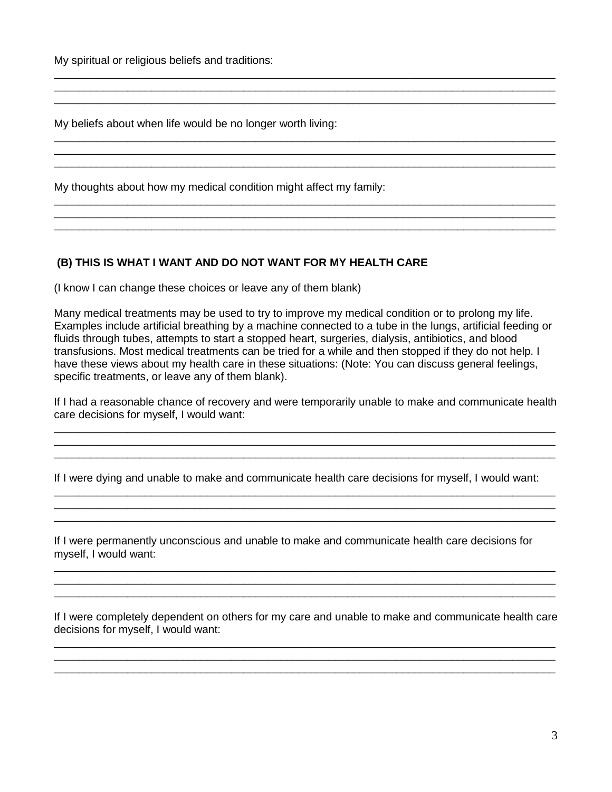My spiritual or religious beliefs and traditions:

My beliefs about when life would be no longer worth living:

My thoughts about how my medical condition might affect my family:

## **(B) THIS IS WHAT I WANT AND DO NOT WANT FOR MY HEALTH CARE**

(I know I can change these choices or leave any of them blank)

Many medical treatments may be used to try to improve my medical condition or to prolong my life. Examples include artificial breathing by a machine connected to a tube in the lungs, artificial feeding or fluids through tubes, attempts to start a stopped heart, surgeries, dialysis, antibiotics, and blood transfusions. Most medical treatments can be tried for a while and then stopped if they do not help. I have these views about my health care in these situations: (Note: You can discuss general feelings, specific treatments, or leave any of them blank).

\_\_\_\_\_\_\_\_\_\_\_\_\_\_\_\_\_\_\_\_\_\_\_\_\_\_\_\_\_\_\_\_\_\_\_\_\_\_\_\_\_\_\_\_\_\_\_\_\_\_\_\_\_\_\_\_\_\_\_\_\_\_\_\_\_\_\_\_\_\_\_\_\_\_\_\_\_\_\_\_\_\_ \_\_\_\_\_\_\_\_\_\_\_\_\_\_\_\_\_\_\_\_\_\_\_\_\_\_\_\_\_\_\_\_\_\_\_\_\_\_\_\_\_\_\_\_\_\_\_\_\_\_\_\_\_\_\_\_\_\_\_\_\_\_\_\_\_\_\_\_\_\_\_\_\_\_\_\_\_\_\_\_\_\_

\_\_\_\_\_\_\_\_\_\_\_\_\_\_\_\_\_\_\_\_\_\_\_\_\_\_\_\_\_\_\_\_\_\_\_\_\_\_\_\_\_\_\_\_\_\_\_\_\_\_\_\_\_\_\_\_\_\_\_\_\_\_\_\_\_\_\_\_\_\_\_\_\_\_\_\_\_\_\_\_\_\_ \_\_\_\_\_\_\_\_\_\_\_\_\_\_\_\_\_\_\_\_\_\_\_\_\_\_\_\_\_\_\_\_\_\_\_\_\_\_\_\_\_\_\_\_\_\_\_\_\_\_\_\_\_\_\_\_\_\_\_\_\_\_\_\_\_\_\_\_\_\_\_\_\_\_\_\_\_\_\_\_\_\_

\_\_\_\_\_\_\_\_\_\_\_\_\_\_\_\_\_\_\_\_\_\_\_\_\_\_\_\_\_\_\_\_\_\_\_\_\_\_\_\_\_\_\_\_\_\_\_\_\_\_\_\_\_\_\_\_\_\_\_\_\_\_\_\_\_\_\_\_\_\_\_\_\_\_\_\_\_\_\_\_\_\_ \_\_\_\_\_\_\_\_\_\_\_\_\_\_\_\_\_\_\_\_\_\_\_\_\_\_\_\_\_\_\_\_\_\_\_\_\_\_\_\_\_\_\_\_\_\_\_\_\_\_\_\_\_\_\_\_\_\_\_\_\_\_\_\_\_\_\_\_\_\_\_\_\_\_\_\_\_\_\_\_\_\_

If I had a reasonable chance of recovery and were temporarily unable to make and communicate health care decisions for myself, I would want: \_\_\_\_\_\_\_\_\_\_\_\_\_\_\_\_\_\_\_\_\_\_\_\_\_\_\_\_\_\_\_\_\_\_\_\_\_\_\_\_\_\_\_\_\_\_\_\_\_\_\_\_\_\_\_\_\_\_\_\_\_\_\_\_\_\_\_\_\_\_\_\_\_\_\_\_\_\_\_\_\_\_

\_\_\_\_\_\_\_\_\_\_\_\_\_\_\_\_\_\_\_\_\_\_\_\_\_\_\_\_\_\_\_\_\_\_\_\_\_\_\_\_\_\_\_\_\_\_\_\_\_\_\_\_\_\_\_\_\_\_\_\_\_\_\_\_\_\_\_\_\_\_\_\_\_\_\_\_\_\_\_\_\_\_ \_\_\_\_\_\_\_\_\_\_\_\_\_\_\_\_\_\_\_\_\_\_\_\_\_\_\_\_\_\_\_\_\_\_\_\_\_\_\_\_\_\_\_\_\_\_\_\_\_\_\_\_\_\_\_\_\_\_\_\_\_\_\_\_\_\_\_\_\_\_\_\_\_\_\_\_\_\_\_\_\_\_

If I were dying and unable to make and communicate health care decisions for myself, I would want:

\_\_\_\_\_\_\_\_\_\_\_\_\_\_\_\_\_\_\_\_\_\_\_\_\_\_\_\_\_\_\_\_\_\_\_\_\_\_\_\_\_\_\_\_\_\_\_\_\_\_\_\_\_\_\_\_\_\_\_\_\_\_\_\_\_\_\_\_\_\_\_\_\_\_\_\_\_\_\_\_\_\_ \_\_\_\_\_\_\_\_\_\_\_\_\_\_\_\_\_\_\_\_\_\_\_\_\_\_\_\_\_\_\_\_\_\_\_\_\_\_\_\_\_\_\_\_\_\_\_\_\_\_\_\_\_\_\_\_\_\_\_\_\_\_\_\_\_\_\_\_\_\_\_\_\_\_\_\_\_\_\_\_\_\_ \_\_\_\_\_\_\_\_\_\_\_\_\_\_\_\_\_\_\_\_\_\_\_\_\_\_\_\_\_\_\_\_\_\_\_\_\_\_\_\_\_\_\_\_\_\_\_\_\_\_\_\_\_\_\_\_\_\_\_\_\_\_\_\_\_\_\_\_\_\_\_\_\_\_\_\_\_\_\_\_\_\_

If I were permanently unconscious and unable to make and communicate health care decisions for myself, I would want:

If I were completely dependent on others for my care and unable to make and communicate health care decisions for myself, I would want: \_\_\_\_\_\_\_\_\_\_\_\_\_\_\_\_\_\_\_\_\_\_\_\_\_\_\_\_\_\_\_\_\_\_\_\_\_\_\_\_\_\_\_\_\_\_\_\_\_\_\_\_\_\_\_\_\_\_\_\_\_\_\_\_\_\_\_\_\_\_\_\_\_\_\_\_\_\_\_\_\_\_

\_\_\_\_\_\_\_\_\_\_\_\_\_\_\_\_\_\_\_\_\_\_\_\_\_\_\_\_\_\_\_\_\_\_\_\_\_\_\_\_\_\_\_\_\_\_\_\_\_\_\_\_\_\_\_\_\_\_\_\_\_\_\_\_\_\_\_\_\_\_\_\_\_\_\_\_\_\_\_\_\_\_ \_\_\_\_\_\_\_\_\_\_\_\_\_\_\_\_\_\_\_\_\_\_\_\_\_\_\_\_\_\_\_\_\_\_\_\_\_\_\_\_\_\_\_\_\_\_\_\_\_\_\_\_\_\_\_\_\_\_\_\_\_\_\_\_\_\_\_\_\_\_\_\_\_\_\_\_\_\_\_\_\_\_

\_\_\_\_\_\_\_\_\_\_\_\_\_\_\_\_\_\_\_\_\_\_\_\_\_\_\_\_\_\_\_\_\_\_\_\_\_\_\_\_\_\_\_\_\_\_\_\_\_\_\_\_\_\_\_\_\_\_\_\_\_\_\_\_\_\_\_\_\_\_\_\_\_\_\_\_\_\_\_\_\_\_ \_\_\_\_\_\_\_\_\_\_\_\_\_\_\_\_\_\_\_\_\_\_\_\_\_\_\_\_\_\_\_\_\_\_\_\_\_\_\_\_\_\_\_\_\_\_\_\_\_\_\_\_\_\_\_\_\_\_\_\_\_\_\_\_\_\_\_\_\_\_\_\_\_\_\_\_\_\_\_\_\_\_ \_\_\_\_\_\_\_\_\_\_\_\_\_\_\_\_\_\_\_\_\_\_\_\_\_\_\_\_\_\_\_\_\_\_\_\_\_\_\_\_\_\_\_\_\_\_\_\_\_\_\_\_\_\_\_\_\_\_\_\_\_\_\_\_\_\_\_\_\_\_\_\_\_\_\_\_\_\_\_\_\_\_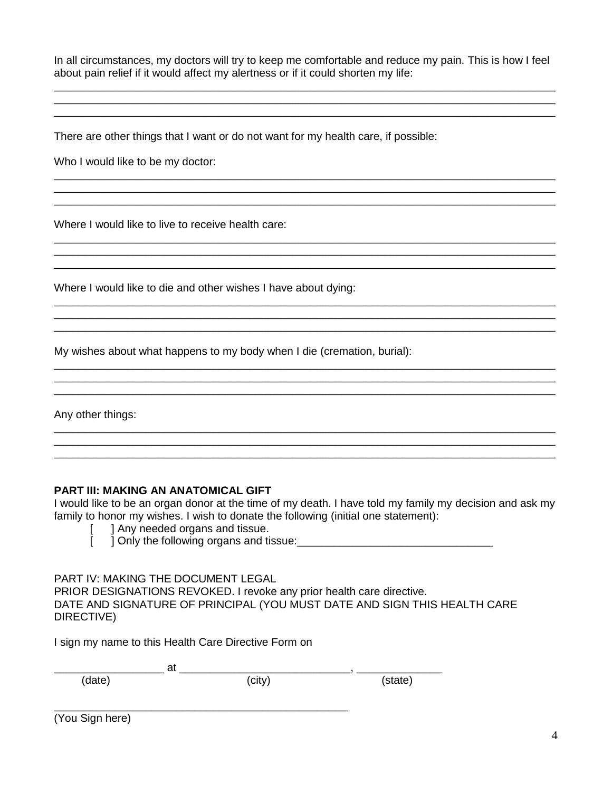In all circumstances, my doctors will try to keep me comfortable and reduce my pain. This is how I feel about pain relief if it would affect my alertness or if it could shorten my life: \_\_\_\_\_\_\_\_\_\_\_\_\_\_\_\_\_\_\_\_\_\_\_\_\_\_\_\_\_\_\_\_\_\_\_\_\_\_\_\_\_\_\_\_\_\_\_\_\_\_\_\_\_\_\_\_\_\_\_\_\_\_\_\_\_\_\_\_\_\_\_\_\_\_\_\_\_\_\_\_\_\_

\_\_\_\_\_\_\_\_\_\_\_\_\_\_\_\_\_\_\_\_\_\_\_\_\_\_\_\_\_\_\_\_\_\_\_\_\_\_\_\_\_\_\_\_\_\_\_\_\_\_\_\_\_\_\_\_\_\_\_\_\_\_\_\_\_\_\_\_\_\_\_\_\_\_\_\_\_\_\_\_\_\_

\_\_\_\_\_\_\_\_\_\_\_\_\_\_\_\_\_\_\_\_\_\_\_\_\_\_\_\_\_\_\_\_\_\_\_\_\_\_\_\_\_\_\_\_\_\_\_\_\_\_\_\_\_\_\_\_\_\_\_\_\_\_\_\_\_\_\_\_\_\_\_\_\_\_\_\_\_\_\_\_\_\_ \_\_\_\_\_\_\_\_\_\_\_\_\_\_\_\_\_\_\_\_\_\_\_\_\_\_\_\_\_\_\_\_\_\_\_\_\_\_\_\_\_\_\_\_\_\_\_\_\_\_\_\_\_\_\_\_\_\_\_\_\_\_\_\_\_\_\_\_\_\_\_\_\_\_\_\_\_\_\_\_\_\_ \_\_\_\_\_\_\_\_\_\_\_\_\_\_\_\_\_\_\_\_\_\_\_\_\_\_\_\_\_\_\_\_\_\_\_\_\_\_\_\_\_\_\_\_\_\_\_\_\_\_\_\_\_\_\_\_\_\_\_\_\_\_\_\_\_\_\_\_\_\_\_\_\_\_\_\_\_\_\_\_\_\_

\_\_\_\_\_\_\_\_\_\_\_\_\_\_\_\_\_\_\_\_\_\_\_\_\_\_\_\_\_\_\_\_\_\_\_\_\_\_\_\_\_\_\_\_\_\_\_\_\_\_\_\_\_\_\_\_\_\_\_\_\_\_\_\_\_\_\_\_\_\_\_\_\_\_\_\_\_\_\_\_\_\_ \_\_\_\_\_\_\_\_\_\_\_\_\_\_\_\_\_\_\_\_\_\_\_\_\_\_\_\_\_\_\_\_\_\_\_\_\_\_\_\_\_\_\_\_\_\_\_\_\_\_\_\_\_\_\_\_\_\_\_\_\_\_\_\_\_\_\_\_\_\_\_\_\_\_\_\_\_\_\_\_\_\_ \_\_\_\_\_\_\_\_\_\_\_\_\_\_\_\_\_\_\_\_\_\_\_\_\_\_\_\_\_\_\_\_\_\_\_\_\_\_\_\_\_\_\_\_\_\_\_\_\_\_\_\_\_\_\_\_\_\_\_\_\_\_\_\_\_\_\_\_\_\_\_\_\_\_\_\_\_\_\_\_\_\_

\_\_\_\_\_\_\_\_\_\_\_\_\_\_\_\_\_\_\_\_\_\_\_\_\_\_\_\_\_\_\_\_\_\_\_\_\_\_\_\_\_\_\_\_\_\_\_\_\_\_\_\_\_\_\_\_\_\_\_\_\_\_\_\_\_\_\_\_\_\_\_\_\_\_\_\_\_\_\_\_\_\_ \_\_\_\_\_\_\_\_\_\_\_\_\_\_\_\_\_\_\_\_\_\_\_\_\_\_\_\_\_\_\_\_\_\_\_\_\_\_\_\_\_\_\_\_\_\_\_\_\_\_\_\_\_\_\_\_\_\_\_\_\_\_\_\_\_\_\_\_\_\_\_\_\_\_\_\_\_\_\_\_\_\_

\_\_\_\_\_\_\_\_\_\_\_\_\_\_\_\_\_\_\_\_\_\_\_\_\_\_\_\_\_\_\_\_\_\_\_\_\_\_\_\_\_\_\_\_\_\_\_\_\_\_\_\_\_\_\_\_\_\_\_\_\_\_\_\_\_\_\_\_\_\_\_\_\_\_\_\_\_\_\_\_\_\_ \_\_\_\_\_\_\_\_\_\_\_\_\_\_\_\_\_\_\_\_\_\_\_\_\_\_\_\_\_\_\_\_\_\_\_\_\_\_\_\_\_\_\_\_\_\_\_\_\_\_\_\_\_\_\_\_\_\_\_\_\_\_\_\_\_\_\_\_\_\_\_\_\_\_\_\_\_\_\_\_\_\_ \_\_\_\_\_\_\_\_\_\_\_\_\_\_\_\_\_\_\_\_\_\_\_\_\_\_\_\_\_\_\_\_\_\_\_\_\_\_\_\_\_\_\_\_\_\_\_\_\_\_\_\_\_\_\_\_\_\_\_\_\_\_\_\_\_\_\_\_\_\_\_\_\_\_\_\_\_\_\_\_\_\_

\_\_\_\_\_\_\_\_\_\_\_\_\_\_\_\_\_\_\_\_\_\_\_\_\_\_\_\_\_\_\_\_\_\_\_\_\_\_\_\_\_\_\_\_\_\_\_\_\_\_\_\_\_\_\_\_\_\_\_\_\_\_\_\_\_\_\_\_\_\_\_\_\_\_\_\_\_\_\_\_\_\_ \_\_\_\_\_\_\_\_\_\_\_\_\_\_\_\_\_\_\_\_\_\_\_\_\_\_\_\_\_\_\_\_\_\_\_\_\_\_\_\_\_\_\_\_\_\_\_\_\_\_\_\_\_\_\_\_\_\_\_\_\_\_\_\_\_\_\_\_\_\_\_\_\_\_\_\_\_\_\_\_\_\_ \_\_\_\_\_\_\_\_\_\_\_\_\_\_\_\_\_\_\_\_\_\_\_\_\_\_\_\_\_\_\_\_\_\_\_\_\_\_\_\_\_\_\_\_\_\_\_\_\_\_\_\_\_\_\_\_\_\_\_\_\_\_\_\_\_\_\_\_\_\_\_\_\_\_\_\_\_\_\_\_\_\_

There are other things that I want or do not want for my health care, if possible:

Who I would like to be my doctor:

Where I would like to live to receive health care:

Where I would like to die and other wishes I have about dying:

My wishes about what happens to my body when I die (cremation, burial):

Any other things:

## **PART III: MAKING AN ANATOMICAL GIFT**

I would like to be an organ donor at the time of my death. I have told my family my decision and ask my family to honor my wishes. I wish to donate the following (initial one statement):

- [ ] Any needed organs and tissue.<br>[ ] Only the following organs and ti-
- [ ] Only the following organs and tissue:\_\_\_\_\_\_\_\_\_\_\_\_\_\_\_\_\_\_\_\_\_\_\_\_\_\_\_\_\_\_\_\_

PART IV: MAKING THE DOCUMENT LEGAL

PRIOR DESIGNATIONS REVOKED. I revoke any prior health care directive. DATE AND SIGNATURE OF PRINCIPAL (YOU MUST DATE AND SIGN THIS HEALTH CARE DIRECTIVE)

| I sign my name to this Health Care Directive Form on |  |  |  |
|------------------------------------------------------|--|--|--|
|------------------------------------------------------|--|--|--|

\_\_\_\_\_\_\_\_\_\_\_\_\_\_\_\_\_\_\_\_\_\_\_\_\_\_\_\_\_\_\_\_\_\_\_\_\_\_\_\_\_\_\_\_\_\_\_\_

| ʻdate)      | citv` | $-1-1-$ |
|-------------|-------|---------|
| $rac{1}{2}$ |       | .       |

(You Sign here)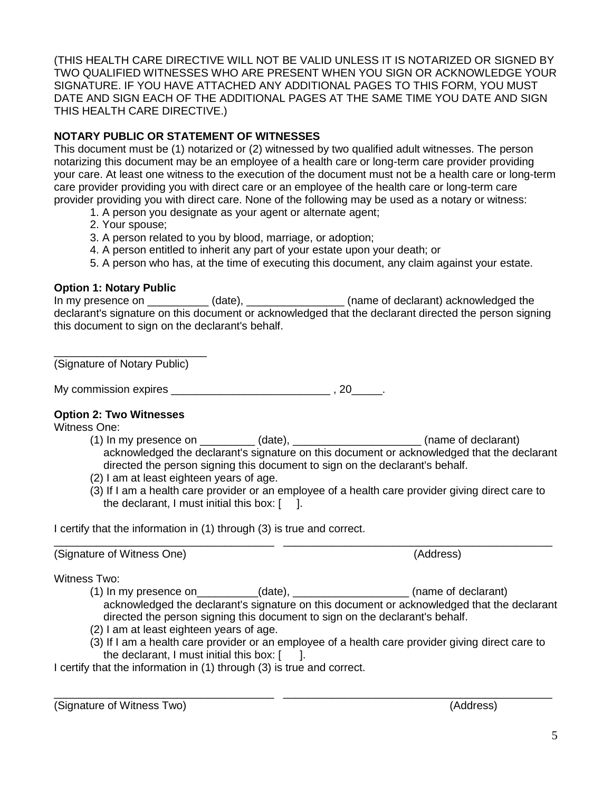(THIS HEALTH CARE DIRECTIVE WILL NOT BE VALID UNLESS IT IS NOTARIZED OR SIGNED BY TWO QUALIFIED WITNESSES WHO ARE PRESENT WHEN YOU SIGN OR ACKNOWLEDGE YOUR SIGNATURE. IF YOU HAVE ATTACHED ANY ADDITIONAL PAGES TO THIS FORM, YOU MUST DATE AND SIGN EACH OF THE ADDITIONAL PAGES AT THE SAME TIME YOU DATE AND SIGN THIS HEALTH CARE DIRECTIVE.)

# **NOTARY PUBLIC OR STATEMENT OF WITNESSES**

This document must be (1) notarized or (2) witnessed by two qualified adult witnesses. The person notarizing this document may be an employee of a health care or long-term care provider providing your care. At least one witness to the execution of the document must not be a health care or long-term care provider providing you with direct care or an employee of the health care or long-term care provider providing you with direct care. None of the following may be used as a notary or witness:

- 1. A person you designate as your agent or alternate agent;
- 2. Your spouse;
- 3. A person related to you by blood, marriage, or adoption;
- 4. A person entitled to inherit any part of your estate upon your death; or
- 5. A person who has, at the time of executing this document, any claim against your estate.

## **Option 1: Notary Public**

In my presence on \_\_\_\_\_\_\_\_\_\_\_\_ (date), \_\_\_\_\_\_\_\_\_\_\_\_\_\_\_\_\_\_\_\_ (name of declarant) acknowledged the declarant's signature on this document or acknowledged that the declarant directed the person signing this document to sign on the declarant's behalf.

\_\_\_\_\_\_\_\_\_\_\_\_\_\_\_\_\_\_\_\_\_\_\_\_\_ (Signature of Notary Public)

My commission expires \_\_\_\_\_\_\_\_\_\_\_\_\_\_\_\_\_\_\_\_\_\_\_\_\_\_\_\_\_\_\_\_\_\_, 20\_\_\_\_\_\_.

## **Option 2: Two Witnesses**

Witness One:

- $(1)$  In my presence on \_\_\_\_\_\_\_\_\_ (date), \_\_\_\_\_\_\_\_\_\_\_\_\_\_\_\_\_\_\_\_\_\_\_\_\_ (name of declarant) acknowledged the declarant's signature on this document or acknowledged that the declarant directed the person signing this document to sign on the declarant's behalf.
- (2) I am at least eighteen years of age.
- (3) If I am a health care provider or an employee of a health care provider giving direct care to the declarant, I must initial this box:  $\lceil \quad \rceil$ .

I certify that the information in (1) through (3) is true and correct.

| (Signature of Witness One) | (Address) |
|----------------------------|-----------|

Witness Two:

- (1) In my presence on  $\qquad \qquad$  (date),  $\qquad \qquad$  (name of declarant) acknowledged the declarant's signature on this document or acknowledged that the declarant directed the person signing this document to sign on the declarant's behalf.
- (2) I am at least eighteen years of age.
- (3) If I am a health care provider or an employee of a health care provider giving direct care to the declarant, I must initial this box:  $\begin{bmatrix} 1 \\ 1 \end{bmatrix}$ .

I certify that the information in (1) through (3) is true and correct.